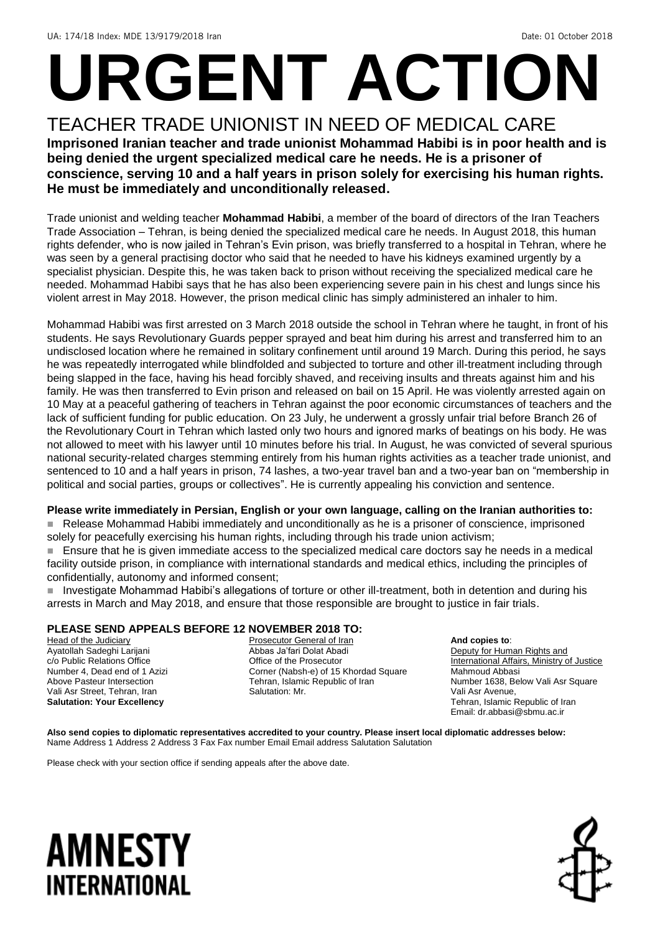# **URGENT ACTION**

#### TEACHER TRADE UNIONIST IN NEED OF MEDICAL CARE **Imprisoned Iranian teacher and trade unionist Mohammad Habibi is in poor health and is being denied the urgent specialized medical care he needs. He is a prisoner of conscience, serving 10 and a half years in prison solely for exercising his human rights. He must be immediately and unconditionally released.**

Trade unionist and welding teacher **Mohammad Habibi**, a member of the board of directors of the Iran Teachers Trade Association – Tehran, is being denied the specialized medical care he needs. In August 2018, this human rights defender, who is now jailed in Tehran's Evin prison, was briefly transferred to a hospital in Tehran, where he was seen by a general practising doctor who said that he needed to have his kidneys examined urgently by a specialist physician. Despite this, he was taken back to prison without receiving the specialized medical care he needed. Mohammad Habibi says that he has also been experiencing severe pain in his chest and lungs since his violent arrest in May 2018. However, the prison medical clinic has simply administered an inhaler to him.

Mohammad Habibi was first arrested on 3 March 2018 outside the school in Tehran where he taught, in front of his students. He says Revolutionary Guards pepper sprayed and beat him during his arrest and transferred him to an undisclosed location where he remained in solitary confinement until around 19 March. During this period, he says he was repeatedly interrogated while blindfolded and subjected to torture and other ill-treatment including through being slapped in the face, having his head forcibly shaved, and receiving insults and threats against him and his family. He was then transferred to Evin prison and released on bail on 15 April. He was violently arrested again on 10 May at a peaceful gathering of teachers in Tehran against the poor economic circumstances of teachers and the lack of sufficient funding for public education. On 23 July, he underwent a grossly unfair trial before Branch 26 of the Revolutionary Court in Tehran which lasted only two hours and ignored marks of beatings on his body. He was not allowed to meet with his lawyer until 10 minutes before his trial. In August, he was convicted of several spurious national security-related charges stemming entirely from his human rights activities as a teacher trade unionist, and sentenced to 10 and a half years in prison, 74 lashes, a two-year travel ban and a two-year ban on "membership in political and social parties, groups or collectives". He is currently appealing his conviction and sentence.

#### **Please write immediately in Persian, English or your own language, calling on the Iranian authorities to:**

Release Mohammad Habibi immediately and unconditionally as he is a prisoner of conscience, imprisoned solely for peacefully exercising his human rights, including through his trade union activism;

 Ensure that he is given immediate access to the specialized medical care doctors say he needs in a medical facility outside prison, in compliance with international standards and medical ethics, including the principles of confidentially, autonomy and informed consent;

 Investigate Mohammad Habibi's allegations of torture or other ill-treatment, both in detention and during his arrests in March and May 2018, and ensure that those responsible are brought to justice in fair trials.

#### **PLEASE SEND APPEALS BEFORE 12 NOVEMBER 2018 TO:**

**Head of the Judiciary** Ayatollah Sadeghi Larijani c/o Public Relations Office Number 4, Dead end of 1 Azizi Above Pasteur Intersection Vali Asr Street, Tehran, Iran **Salutation: Your Excellency**

Prosecutor General of Iran Abbas Ja'fari Dolat Abadi Office of the Prosecutor Corner (Nabsh-e) of 15 Khordad Square Tehran, Islamic Republic of Iran Salutation: Mr.

**And copies to**: Deputy for Human Rights and International Affairs, Ministry of Justice Mahmoud Abbasi Number 1638, Below Vali Asr Square Vali Asr Avenue, Tehran, Islamic Republic of Iran Email: dr.abbasi@sbmu.ac.ir

**Also send copies to diplomatic representatives accredited to your country. Please insert local diplomatic addresses below:** Name Address 1 Address 2 Address 3 Fax Fax number Email Email address Salutation Salutation

Please check with your section office if sending appeals after the above date.